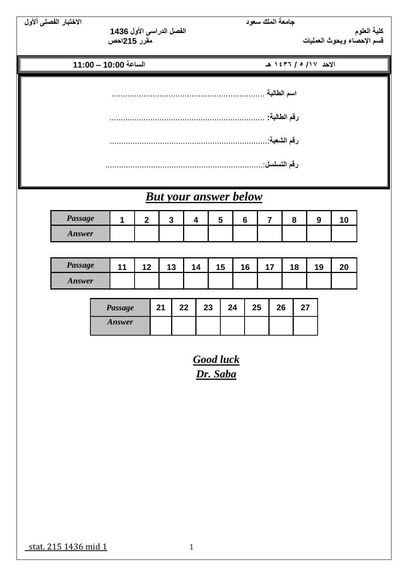**جامعة الملك سعود االختبار الفصلى أألول**

**كلية العلوم الفصل الدراسى األول 1436**

**قسم اإلحصاء وبحوث العمليات مقرر 215احص**

**االحد /17 5 / 1436 هـ الساعة 10:00 – 11:00**

**اسم الطالبة** ................................................................... **رقم الطالبة:** .................................................................... **رقم الشعبة**.....................................................................:  **رقم التسلسل**.....................................................................:

## *But your answer below*

| Passage |  |  |  |  |  |
|---------|--|--|--|--|--|
| Answer  |  |  |  |  |  |

| Passage | $\sqrt{2}$ | 13 | <u>'4</u> | . .<br>1J. | $\epsilon$ | $^{\circ}$ 0<br>10. | J |  |
|---------|------------|----|-----------|------------|------------|---------------------|---|--|
| Answer  |            |    |           |            |            |                     |   |  |

| <b>Passage</b> | 21 | $22 \,$ | 23 | 24 | 25 | 26 | 27 |
|----------------|----|---------|----|----|----|----|----|
| Answer         |    |         |    |    |    |    |    |

*Good luck Dr. Saba*

stat. 215 1436 mid 1 1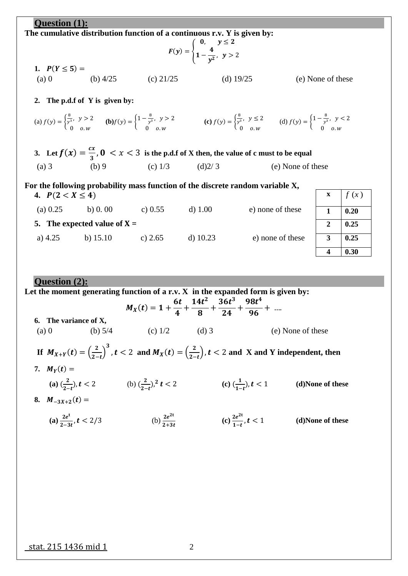| Question (1):        |                                                                                                                                                                                                                                                                                                                                     |                     |                                                                                |                  |                   |                         |      |
|----------------------|-------------------------------------------------------------------------------------------------------------------------------------------------------------------------------------------------------------------------------------------------------------------------------------------------------------------------------------|---------------------|--------------------------------------------------------------------------------|------------------|-------------------|-------------------------|------|
|                      | The cumulative distribution function of a continuous $r.v. Y$ is given by:                                                                                                                                                                                                                                                          |                     |                                                                                |                  |                   |                         |      |
|                      |                                                                                                                                                                                                                                                                                                                                     |                     | $F(y) = \begin{cases} 0, & y \leq 2 \\ 1 - \frac{4}{y^2}, & y > 2 \end{cases}$ |                  |                   |                         |      |
| 1. $P(Y \le 5) =$    |                                                                                                                                                                                                                                                                                                                                     |                     |                                                                                |                  |                   |                         |      |
|                      | (a) 0 (b) $4/25$ (c) $21/25$                                                                                                                                                                                                                                                                                                        |                     |                                                                                | (d) $19/25$      |                   | (e) None of these       |      |
| 2.                   | The p.d.f of Y is given by:                                                                                                                                                                                                                                                                                                         |                     |                                                                                |                  |                   |                         |      |
|                      | (a) $f(y) = \begin{cases} \frac{8}{y^3}, & y > 2 \\ 0 & 0 \le y \end{cases}$ (b) $f(y) = \begin{cases} 1 - \frac{8}{y^3}, & y > 2 \\ 0 & 0 \le y \end{cases}$ (c) $f(y) = \begin{cases} \frac{8}{y^3}, & y \le 2 \\ 0 & 0 \le y \end{cases}$ (d) $f(y) = \begin{cases} 1 - \frac{8}{y^3}, & y < 2 \\ 0 & 0 \le y \le 2 \end{cases}$ |                     |                                                                                |                  |                   |                         |      |
|                      | 3. Let $f(x) = \frac{cx}{3}$ , $0 < x < 3$ is the p.d.f of X then, the value of c must to be equal                                                                                                                                                                                                                                  |                     |                                                                                |                  |                   |                         |      |
| $(a)$ 3              | (b) 9                                                                                                                                                                                                                                                                                                                               | (c) $1/3$ (d) $2/3$ |                                                                                |                  | (e) None of these |                         |      |
|                      | For the following probability mass function of the discrete random variable X,                                                                                                                                                                                                                                                      |                     |                                                                                |                  |                   |                         |      |
| 4. $P(2 < X \le 4)$  |                                                                                                                                                                                                                                                                                                                                     |                     |                                                                                |                  |                   | $\mathbf X$             | f(x) |
| (a) $0.25$           | b) 0.00 c) 0.55 d) 1.00                                                                                                                                                                                                                                                                                                             |                     |                                                                                | e) none of these |                   | $\mathbf{1}$            | 0.20 |
|                      | 5. The expected value of $X =$                                                                                                                                                                                                                                                                                                      |                     |                                                                                |                  |                   | 2                       | 0.25 |
|                      | a) 4.25 b) 15.10 c) 2.65                                                                                                                                                                                                                                                                                                            |                     | d) $10.23$                                                                     | e) none of these |                   | 3                       | 0.25 |
|                      |                                                                                                                                                                                                                                                                                                                                     |                     |                                                                                |                  |                   | $\overline{\mathbf{4}}$ | 0.30 |
|                      |                                                                                                                                                                                                                                                                                                                                     |                     |                                                                                |                  |                   |                         |      |
| <b>Question</b> (2): |                                                                                                                                                                                                                                                                                                                                     |                     |                                                                                |                  |                   |                         |      |
|                      | Let the moment generating function of a r.v. $X$ in the expanded form is given by:                                                                                                                                                                                                                                                  |                     |                                                                                |                  |                   |                         |      |

|                                       |                                                                                  |                            | $M_X(t) = 1 + \frac{3t}{4} + \frac{21t}{8} + \frac{33t}{24} + \frac{33t}{96} + \dots$ |                                                                                                                                            |  |
|---------------------------------------|----------------------------------------------------------------------------------|----------------------------|---------------------------------------------------------------------------------------|--------------------------------------------------------------------------------------------------------------------------------------------|--|
| 6. The variance of X,<br>(a) 0        | (b) $5/4$                                                                        | (c) $1/2$                  | $(d)$ 3                                                                               | (e) None of these                                                                                                                          |  |
|                                       |                                                                                  |                            |                                                                                       | If $M_{X+Y}(t) = \left(\frac{2}{2-t}\right)^3$ , $t < 2$ and $M_X(t) = \left(\frac{2}{2-t}\right)$ , $t < 2$ and X and Y independent, then |  |
| 7. $M_Y(t) =$                         |                                                                                  |                            |                                                                                       |                                                                                                                                            |  |
|                                       | (a) $\left(\frac{2}{2-t}\right), t < 2$ (b) $\left(\frac{2}{2-t}\right)^2 t < 2$ |                            | (c) $(\frac{1}{1-t})$ , $t < 1$                                                       | (d)None of these                                                                                                                           |  |
| 8. $M_{-3X+2}(t) =$                   |                                                                                  |                            |                                                                                       |                                                                                                                                            |  |
| (a) $\frac{2e^{t}}{2-3t}$ , $t < 2/3$ |                                                                                  | (b) $\frac{2e^{2t}}{2+3t}$ | (c) $\frac{2e^{2t}}{1-t}$ , $t < 1$                                                   | (d)None of these                                                                                                                           |  |

 $14t^2$ 

 $36t^3$ 

 $98t^4$ 

6t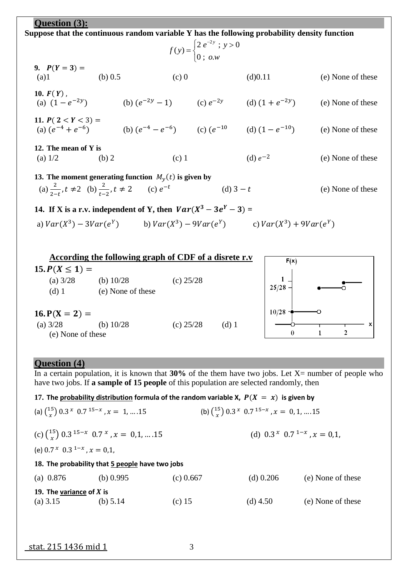| Question (3):                                                                                                                                      |                                                       |         |                                                                 |                                                                                             |                   |  |  |  |
|----------------------------------------------------------------------------------------------------------------------------------------------------|-------------------------------------------------------|---------|-----------------------------------------------------------------|---------------------------------------------------------------------------------------------|-------------------|--|--|--|
| Suppose that the continuous random variable Y has the following probability density function                                                       |                                                       |         |                                                                 |                                                                                             |                   |  |  |  |
|                                                                                                                                                    |                                                       |         | $f(y) = \begin{cases} 2 e^{-2y} ; y > 0 \\ 0 ; o.w \end{cases}$ |                                                                                             |                   |  |  |  |
| 9. $P(Y = 3) =$<br>(a)1                                                                                                                            | (b) $0.5$                                             | $(c)$ 0 |                                                                 | (d)0.11                                                                                     | (e) None of these |  |  |  |
| 10. $F(Y)$ ,<br>(a) $(1 - e^{-2y})$                                                                                                                |                                                       |         |                                                                 | (b) $(e^{-2y} - 1)$ (c) $e^{-2y}$ (d) $(1 + e^{-2y})$                                       | (e) None of these |  |  |  |
| 11. $P(2 < Y < 3) =$                                                                                                                               |                                                       |         |                                                                 | (a) $(e^{-4} + e^{-6})$<br>(b) $(e^{-4} - e^{-6})$<br>(c) $(e^{-10}$<br>(d) $(1 - e^{-10})$ | (e) None of these |  |  |  |
| 12. The mean of Y is<br>(a) $1/2$                                                                                                                  | (b) 2                                                 | $(c)$ 1 |                                                                 | (d) $e^{-2}$                                                                                | (e) None of these |  |  |  |
| 13. The moment generating function $M_y(t)$ is given by<br>(a) $\frac{2}{3-t}$ , $t \neq 2$ (b) $\frac{2}{1-t}$ , $t \neq 2$ (c) $e^{-t}$          |                                                       |         | (d) $3 - t$                                                     |                                                                                             | (e) None of these |  |  |  |
| 14. If X is a r.v. independent of Y, then $Var(X^3 - 3e^Y - 3) =$<br>a) $Var(X^3) - 3Var(e^Y)$ b) $Var(X^3) - 9Var(e^Y)$ c) $Var(X^3) + 9Var(e^Y)$ |                                                       |         |                                                                 |                                                                                             |                   |  |  |  |
|                                                                                                                                                    | According the following graph of CDF of a disrete r.y |         |                                                                 | $\sim$ $\sim$ $\sim$                                                                        |                   |  |  |  |

|                                 | According the following graph of CDF of a disrete r.v |             |       | F(x)  |  |
|---------------------------------|-------------------------------------------------------|-------------|-------|-------|--|
| 15. $P(X \leq 1) =$             |                                                       |             |       |       |  |
| (a) $3/28$<br>$(d)$ 1           | (b) $10/28$<br>(e) None of these                      | (c) $25/28$ |       | 25/28 |  |
| $16. P(X = 2) =$                |                                                       |             |       | 10/28 |  |
| (a) $3/28$<br>(e) None of these | (b) $10/28$                                           | (c) $25/28$ | (d) 1 | 0     |  |

## **Question (4)**

In a certain population, it is known that **30%** of the them have two jobs. Let X= number of people who have two jobs. If **a sample of 15 people** of this population are selected randomly, then

## 17. The probability distribution formula of the random variable X,  $P(X = x)$  is given by

| (a) $\binom{15}{x}$ 0.3 $^{x}$ 0.7 $1^{5-x}$ , $x = 1, \dots, 15$ |                                                                          |             | (b) $\binom{15}{x}$ 0.3 $^{x}$ 0.7 $1^{5-x}$ , $x = 0, 1, \dots$ 15 |                   |
|-------------------------------------------------------------------|--------------------------------------------------------------------------|-------------|---------------------------------------------------------------------|-------------------|
|                                                                   | (c) $\binom{15}{x}$ 0.3 <sup>15-x</sup> 0.7 <sup>x</sup> , x = 0,1,  .15 |             | (d) $0.3^{x} 0.7^{1-x}$ , $x = 0.1$ .                               |                   |
| (e) $0.7^x$ $0.3^{1-x}$ , $x = 0.1$ ,                             |                                                                          |             |                                                                     |                   |
|                                                                   | 18. The probability that 5 people have two jobs                          |             |                                                                     |                   |
| (a) $0.876$                                                       | (b) $0.995$                                                              | $(c)$ 0.667 | $(d)$ 0.206                                                         | (e) None of these |
| 19. The variance of $X$ is<br>(a) $3.15$                          | (b) $5.14$                                                               | (c) $15$    | (d) $4.50$                                                          | (e) None of these |

stat. 215 1436 mid 1 3